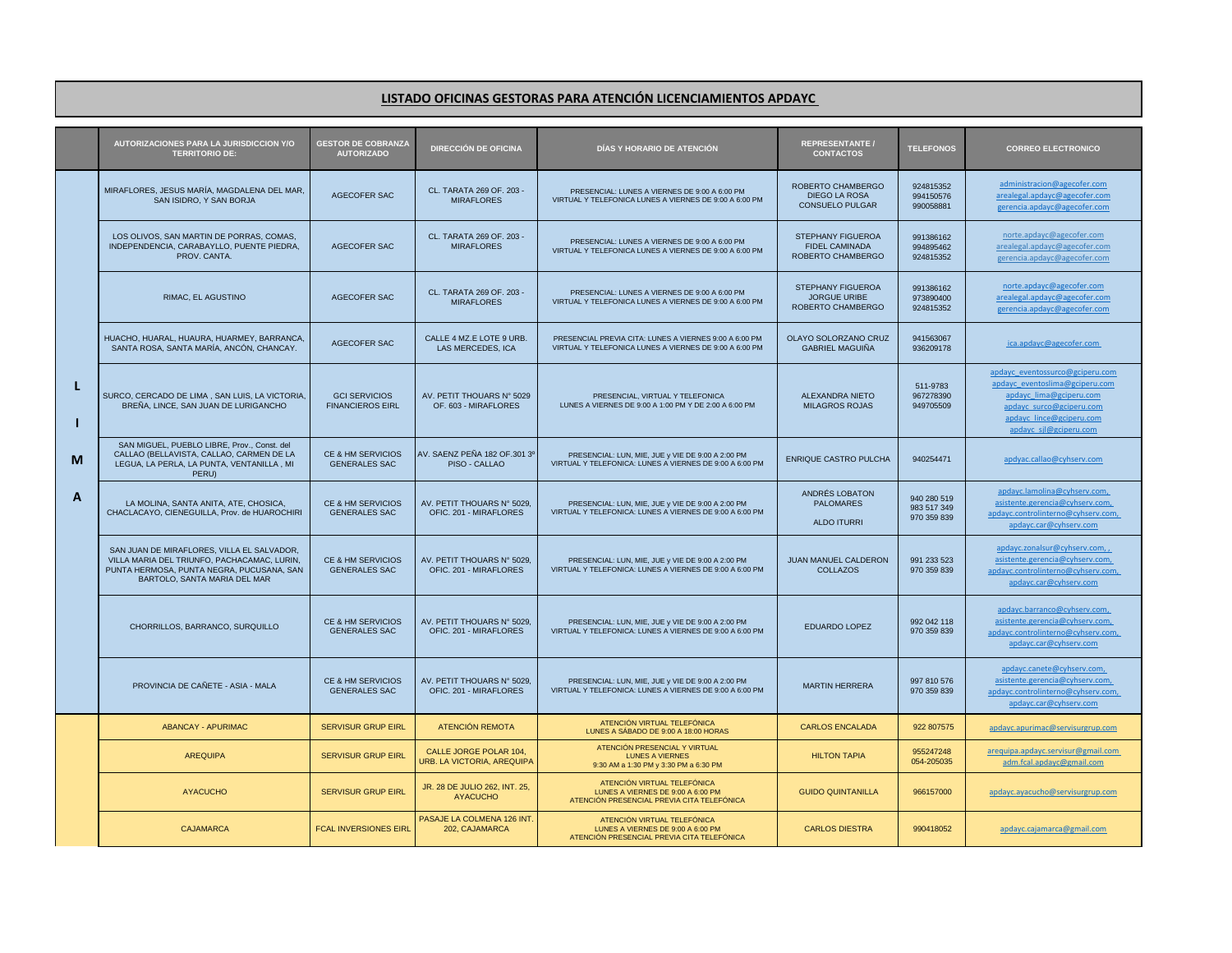## **LISTADO OFICINAS GESTORAS PARA ATENCIÓN LICENCIAMIENTOS APDAYC**

|             | AUTORIZACIONES PARA LA JURISDICCION Y/O<br><b>TERRITORIO DE:</b>                                                                                                       | <b>GESTOR DE COBRANZA</b><br><b>AUTORIZADO</b>       | <b>DIRECCIÓN DE OFICINA</b>                          | <b>DIAS Y HORARIO DE ATENCION</b>                                                                                | <b>REPRESENTANTE /</b><br><b>CONTACTOS</b>                          | <b>TELEFONOS</b>                          | <b>CORREO ELECTRONICO</b>                                                                                                                                                      |
|-------------|------------------------------------------------------------------------------------------------------------------------------------------------------------------------|------------------------------------------------------|------------------------------------------------------|------------------------------------------------------------------------------------------------------------------|---------------------------------------------------------------------|-------------------------------------------|--------------------------------------------------------------------------------------------------------------------------------------------------------------------------------|
| L<br>М<br>A | MIRAFLORES, JESUS MARÍA, MAGDALENA DEL MAR.<br>SAN ISIDRO, Y SAN BORJA                                                                                                 | AGECOFER SAC                                         | CL. TARATA 269 OF, 203 -<br><b>MIRAFLORES</b>        | PRESENCIAL: LUNES A VIERNES DE 9:00 A 6:00 PM<br>VIRTUAL Y TELEFONICA LUNES A VIERNES DE 9:00 A 6:00 PM          | ROBERTO CHAMBERGO<br><b>DIEGO LA ROSA</b><br><b>CONSUELO PULGAR</b> | 924815352<br>994150576<br>990058881       | administracion@agecofer.com<br>arealegal.apdayc@agecofer.com<br>gerencia.apdayc@agecofer.com                                                                                   |
|             | LOS OLIVOS, SAN MARTIN DE PORRAS, COMAS,<br>INDEPENDENCIA, CARABAYLLO, PUENTE PIEDRA,<br>PROV. CANTA.                                                                  | AGECOFER SAC                                         | CL. TARATA 269 OF. 203 -<br><b>MIRAFLORES</b>        | PRESENCIAL: LUNES A VIERNES DE 9:00 A 6:00 PM<br>VIRTUAL Y TELEFONICA LUNES A VIERNES DE 9:00 A 6:00 PM          | STEPHANY FIGUEROA<br><b>FIDEL CAMINADA</b><br>ROBERTO CHAMBERGO     | 991386162<br>994895462<br>924815352       | norte.apdayc@agecofer.com<br>arealegal.apdayc@agecofer.com<br>gerencia.apdayc@agecofer.com                                                                                     |
|             | <b>RIMAC, EL AGUSTINO</b>                                                                                                                                              | AGECOFER SAC                                         | CL. TARATA 269 OF. 203 -<br><b>MIRAFLORES</b>        | PRESENCIAL: LUNES A VIERNES DE 9:00 A 6:00 PM<br>VIRTUAL Y TELEFONICA LUNES A VIERNES DE 9:00 A 6:00 PM          | STEPHANY FIGUEROA<br><b>JORGUE URIBE</b><br>ROBERTO CHAMBERGO       | 991386162<br>973890400<br>924815352       | norte.apdayc@agecofer.com<br>arealegal.apdayc@agecofer.com<br>gerencia.apdayc@agecofer.com                                                                                     |
|             | HUACHO, HUARAL, HUAURA, HUARMEY, BARRANCA.<br>SANTA ROSA, SANTA MARÍA, ANCÓN, CHANCAY.                                                                                 | AGECOFER SAC                                         | CALLE 4 MZ.E LOTE 9 URB.<br>LAS MERCEDES, ICA        | PRESENCIAL PREVIA CITA: LUNES A VIERNES 9:00 A 6:00 PM<br>VIRTUAL Y TELEFONICA LUNES A VIERNES DE 9:00 A 6:00 PM | OLAYO SOLORZANO CRUZ<br><b>GABRIEL MAGUIÑA</b>                      | 941563067<br>936209178                    | ica.apdayc@agecofer.com                                                                                                                                                        |
|             | SURCO, CERCADO DE LIMA, SAN LUIS, LA VICTORIA<br>BRENA, LINCE, SAN JUAN DE LURIGANCHO                                                                                  | <b>GCI SERVICIOS</b><br><b>FINANCIEROS EIRL</b>      | AV. PETIT THOUARS N° 5029<br>OF. 603 - MIRAFLORES    | PRESENCIAL, VIRTUAL Y TELEFONICA<br>LUNES A VIERNES DE 9:00 A 1:00 PM Y DE 2:00 A 6:00 PM                        | <b>ALEXANDRA NIETO</b><br><b>MILAGROS ROJAS</b>                     | 511-9783<br>967278390<br>949705509        | apdayc_eventossurco@gciperu.com<br>apdayc eventoslima@gciperu.com<br>apdayc_lima@gciperu.com<br>apdayc_surco@gciperu.com<br>apdayc_lince@gciperu.com<br>apdayc_sjl@gciperu.com |
|             | SAN MIGUEL, PUEBLO LIBRE, Prov., Const. del<br>CALLAO (BELLAVISTA, CALLAO, CARMEN DE LA<br>LEGUA, LA PERLA, LA PUNTA, VENTANILLA, MI<br>PERU)                          | CE & HM SERVICIOS<br><b>GENERALES SAC</b>            | AV. SAENZ PEÑA 182 OF.301 3º<br>PISO - CALLAO        | PRESENCIAL: LUN, MIE, JUE y VIE DE 9:00 A 2:00 PM<br>VIRTUAL Y TELEFONICA: LUNES A VIERNES DE 9:00 A 6:00 PM     | <b>ENRIQUE CASTRO PULCHA</b>                                        | 940254471                                 | apdyac.callao@cyhserv.com                                                                                                                                                      |
|             | LA MOLINA, SANTA ANITA, ATE, CHOSICA,<br>CHACLACAYO, CIENEGUILLA, Prov. de HUAROCHIRI                                                                                  | <b>CE &amp; HM SERVICIOS</b><br><b>GENERALES SAC</b> | AV. PETIT THOUARS N° 5029.<br>OFIC. 201 - MIRAFLORES | PRESENCIAL: LUN, MIE, JUE y VIE DE 9:00 A 2:00 PM<br>VIRTUAL Y TELEFONICA: LUNES A VIERNES DE 9:00 A 6:00 PM     | ANDRÉS LOBATON<br><b>PALOMARES</b><br><b>ALDO ITURRI</b>            | 940 280 519<br>983 517 349<br>970 359 839 | apdayc.lamolina@cyhserv.com,<br>asistente.gerencia@cyhserv.com,<br>apdayc.controlinterno@cyhserv.com,<br>apdayc.car@cyhserv.com                                                |
|             | SAN JUAN DE MIRAFLORES, VILLA EL SALVADOR,<br>VILLA MARIA DEL TRIUNFO, PACHACAMAC, LURIN.<br>PUNTA HERMOSA, PUNTA NEGRA, PUCUSANA, SAN<br>BARTOLO, SANTA MARIA DEL MAR | CE & HM SERVICIOS<br><b>GENERALES SAC</b>            | AV. PETIT THOUARS N° 5029,<br>OFIC. 201 - MIRAFLORES | PRESENCIAL: LUN, MIE, JUE y VIE DE 9:00 A 2:00 PM<br>VIRTUAL Y TELEFONICA: LUNES A VIERNES DE 9:00 A 6:00 PM     | JUAN MANUEL CALDERON<br><b>COLLAZOS</b>                             | 991 233 523<br>970 359 839                | apdayc.zonalsur@cyhserv.com,,<br>asistente.gerencia@cyhserv.com,<br>apdayc.controlinterno@cyhserv.com,<br>apdayc.car@cyhserv.com                                               |
|             | CHORRILLOS, BARRANCO, SURQUILLO                                                                                                                                        | <b>CE &amp; HM SERVICIOS</b><br><b>GENERALES SAC</b> | AV. PETIT THOUARS N° 5029.<br>OFIC. 201 - MIRAFLORES | PRESENCIAL: LUN, MIE, JUE y VIE DE 9:00 A 2:00 PM<br>VIRTUAL Y TELEFONICA: LUNES A VIERNES DE 9:00 A 6:00 PM     | <b>EDUARDO LOPEZ</b>                                                | 992 042 118<br>970 359 839                | apdayc.barranco@cyhserv.com,<br>asistente.gerencia@cyhserv.com,<br>apdayc.controlinterno@cyhserv.com,<br>apdayc.car@cyhserv.com                                                |
|             | PROVINCIA DE CAÑETE - ASIA - MALA                                                                                                                                      | CE & HM SERVICIOS<br><b>GENERALES SAC</b>            | AV. PETIT THOUARS N° 5029.<br>OFIC. 201 - MIRAFLORES | PRESENCIAL: LUN, MIE, JUE y VIE DE 9:00 A 2:00 PM<br>VIRTUAL Y TELEFONICA: LUNES A VIERNES DE 9:00 A 6:00 PM     | <b>MARTIN HERRERA</b>                                               | 997 810 576<br>970 359 839                | apdayc.canete@cyhserv.com,<br>asistente.gerencia@cyhserv.com,<br>apdayc.controlinterno@cyhserv.com,<br>apdayc.car@cyhserv.com                                                  |
|             | <b>ABANCAY - APURIMAC</b>                                                                                                                                              | <b>SERVISUR GRUP EIRL</b>                            | ATENCIÓN REMOTA                                      | ATENCIÓN VIRTUAL TELEFÓNICA<br>LUNES A SÁBADO DE 9:00 A 18:00 HORAS                                              | <b>CARLOS ENCALADA</b>                                              | 922 807575                                | apdayc.apurimac@servisurgrup.com                                                                                                                                               |
|             | <b>AREQUIPA</b>                                                                                                                                                        | <b>SERVISUR GRUP EIRL</b>                            | CALLE JORGE POLAR 104,<br>URB. LA VICTORIA, AREQUIPA | ATENCIÓN PRESENCIAL Y VIRTUAL<br><b>LUNES A VIERNES</b><br>9:30 AM a 1:30 PM y 3:30 PM a 6:30 PM                 | <b>HILTON TAPIA</b>                                                 | 955247248<br>054-205035                   | arequipa.apdayc.servisur@gmail.com<br>adm.fcal.apdayc@gmail.com                                                                                                                |
|             | <b>AYACUCHO</b>                                                                                                                                                        | <b>SERVISUR GRUP EIRL</b>                            | JR. 28 DE JULIO 262, INT. 25,<br><b>AYACUCHO</b>     | ATENCIÓN VIRTUAL TELEFÓNICA<br>LUNES A VIERNES DE 9:00 A 6:00 PM<br>ATENCIÓN PRESENCIAL PREVIA CITA TELEFÓNICA   | <b>GUIDO QUINTANILLA</b>                                            | 966157000                                 | apdayc.ayacucho@servisurgrup.com                                                                                                                                               |
|             | CAJAMARCA                                                                                                                                                              | <b>FCAL INVERSIONES EIRL</b>                         | PASAJE LA COLMENA 126 INT<br>202, CAJAMARCA          | ATENCIÓN VIRTUAL TELEFÓNICA<br>LUNES A VIERNES DE 9:00 A 6:00 PM<br>ATENCIÓN PRESENCIAL PREVIA CITA TELEFÓNICA   | <b>CARLOS DIESTRA</b>                                               | 990418052                                 | apdayc.cajamarca@gmail.com                                                                                                                                                     |